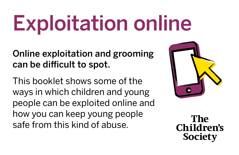# Exploitation online

Online exploitation and grooming can be difficult to spot.

This booklet shows some of the ways in which children and young people can be exploited online and how you can keep young people safe from this kind of abuse.



**The** Children's **Society**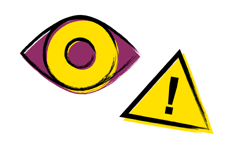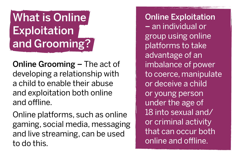# What is Online Exploitation and Grooming?

Online Grooming – The act of developing a relationship with a child to enable their abuse and exploitation both online and offline.

Online platforms, such as online gaming, social media, messaging and live streaming, can be used to do this.

Online Exploitation – an individual or group using online platforms to take advantage of an imbalance of power to coerce, manipulate or deceive a child or young person under the age of 18 into sexual and/ or criminal activity that can occur both online and offline.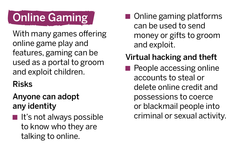# Online Gaming

With many games offering online game play and features, gaming can be used as a portal to groom and exploit children.

## Risks

#### Anyone can adopt any identity

■ It's not always possible to know who they are talking to online.

■ Online gaming platforms can be used to send money or gifts to groom and exploit.

## Virtual hacking and theft

■ People accessing online accounts to steal or delete online credit and possessions to coerce or blackmail people into criminal or sexual activity.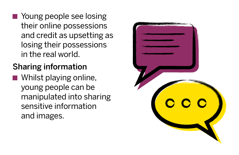■ Young people see losing their online possessions and credit as upsetting as losing their possessions in the real world.

## Sharing information

■ Whilst playing online, young people can be manipulated into sharing sensitive information and images.

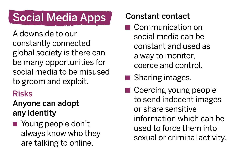# Social Media Apps

A downside to our constantly connected global society is there can be many opportunities for social media to be misused to groom and exploit.

#### Risks

## Anyone can adopt any identity

■ Young people don't always know who they are talking to online.

## Constant contact

■ Communication on social media can be constant and used as a way to monitor, coerce and control.

## ■ Sharing images.

■ Coercing young people to send indecent images or share sensitive information which can be used to force them into sexual or criminal activity.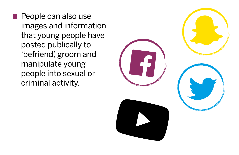■ People can also use images and information that young people have posted publically to 'befriend', groom and manipulate young people into sexual or criminal activity.

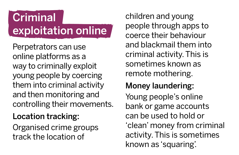# Criminal exploitation online

Perpetrators can use online platforms as a way to criminally exploit young people by coercing them into criminal activity and then monitoring and controlling their movements.

## Location tracking:

Organised crime groups track the location of

children and young people through apps to coerce their behaviour and blackmail them into criminal activity. This is sometimes known as remote mothering.

#### Money laundering:

Young people's online bank or game accounts can be used to hold or 'clean' money from criminal activity. This is sometimes known as 'squaring'.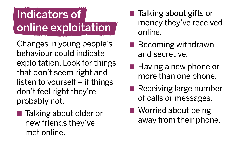# Indicators of online exploitation

Changes in young people's behaviour could indicate exploitation. Look for things that don't seem right and listen to yourself – if things don't feel right they're probably not.

■ Talking about older or new friends they've met online.

- Ԏ Talking about gifts or money they've received online.
- Becoming withdrawn and secretive.
- Having a new phone or more than one phone.
- Receiving large number of calls or messages.
- Worried about being away from their phone.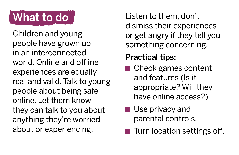# What to do

Children and young people have grown up in an interconnected world. Online and offline experiences are equally real and valid. Talk to young people about being safe online. Let them know they can talk to you about anything they're worried about or experiencing.

Listen to them, don't dismiss their experiences or get angry if they tell you something concerning.

## Practical tips:

- Check games content and features (Is it appropriate? Will they have online access?)
- Use privacy and parental controls.
- $\blacksquare$  Turn location settings off.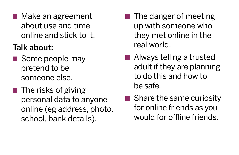■ Make an agreement about use and time online and stick to it.

#### Talk about:

- Some people may pretend to be someone else.
- $\blacksquare$  The risks of giving personal data to anyone online (eg address, photo, school, bank details).
- The danger of meeting up with someone who they met online in the real world.
- Always telling a trusted adult if they are planning to do this and how to be safe.
- Share the same curiosity for online friends as you would for offline friends.